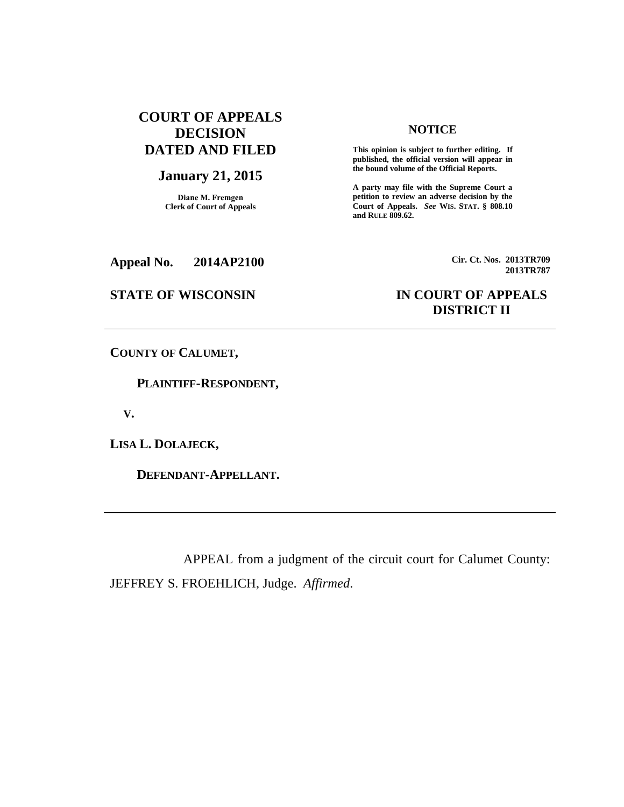# **COURT OF APPEALS DECISION DATED AND FILED**

## **January 21, 2015**

**Diane M. Fremgen Clerk of Court of Appeals**

## **NOTICE**

**This opinion is subject to further editing. If published, the official version will appear in the bound volume of the Official Reports.** 

**A party may file with the Supreme Court a petition to review an adverse decision by the Court of Appeals.** *See* **WIS. STAT. § 808.10 and RULE 809.62.** 

**Appeal No. 2014AP2100 Cir. Ct. Nos. 2013TR709**

# **STATE OF WISCONSIN IN COURT OF APPEALS DISTRICT II**

**2013TR787**

**COUNTY OF CALUMET,**

 **PLAINTIFF-RESPONDENT,**

 **V.**

**LISA L. DOLAJECK,**

 **DEFENDANT-APPELLANT.**

APPEAL from a judgment of the circuit court for Calumet County: JEFFREY S. FROEHLICH, Judge. *Affirmed*.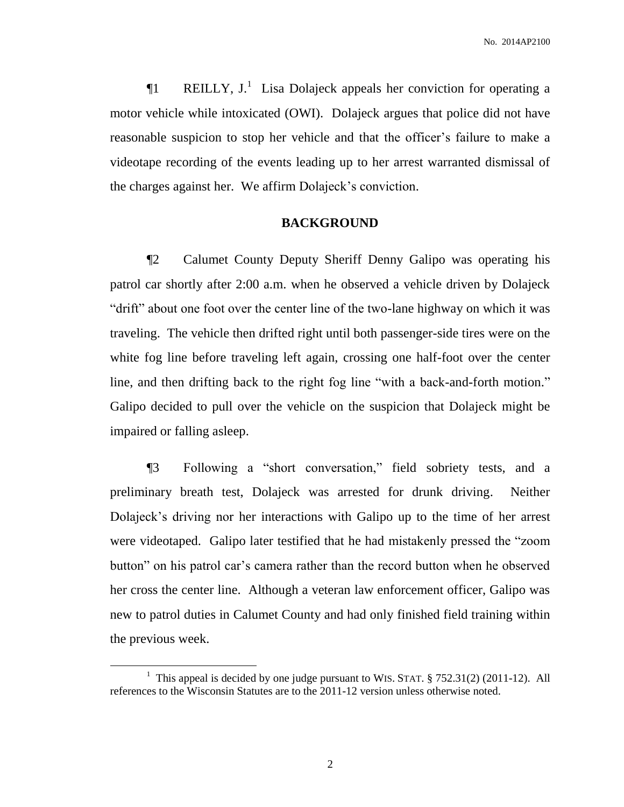**The REILLY, J.**<sup>1</sup> Lisa Dolajeck appeals her conviction for operating a motor vehicle while intoxicated (OWI). Dolajeck argues that police did not have reasonable suspicion to stop her vehicle and that the officer's failure to make a videotape recording of the events leading up to her arrest warranted dismissal of the charges against her. We affirm Dolajeck's conviction.

## **BACKGROUND**

¶2 Calumet County Deputy Sheriff Denny Galipo was operating his patrol car shortly after 2:00 a.m. when he observed a vehicle driven by Dolajeck "drift" about one foot over the center line of the two-lane highway on which it was traveling. The vehicle then drifted right until both passenger-side tires were on the white fog line before traveling left again, crossing one half-foot over the center line, and then drifting back to the right fog line "with a back-and-forth motion." Galipo decided to pull over the vehicle on the suspicion that Dolajeck might be impaired or falling asleep.

¶3 Following a "short conversation," field sobriety tests, and a preliminary breath test, Dolajeck was arrested for drunk driving. Neither Dolajeck's driving nor her interactions with Galipo up to the time of her arrest were videotaped. Galipo later testified that he had mistakenly pressed the "zoom button" on his patrol car's camera rather than the record button when he observed her cross the center line. Although a veteran law enforcement officer, Galipo was new to patrol duties in Calumet County and had only finished field training within the previous week.

 $\overline{a}$ 

<sup>&</sup>lt;sup>1</sup> This appeal is decided by one judge pursuant to WIS. STAT.  $\S 752.31(2)$  (2011-12). All references to the Wisconsin Statutes are to the 2011-12 version unless otherwise noted.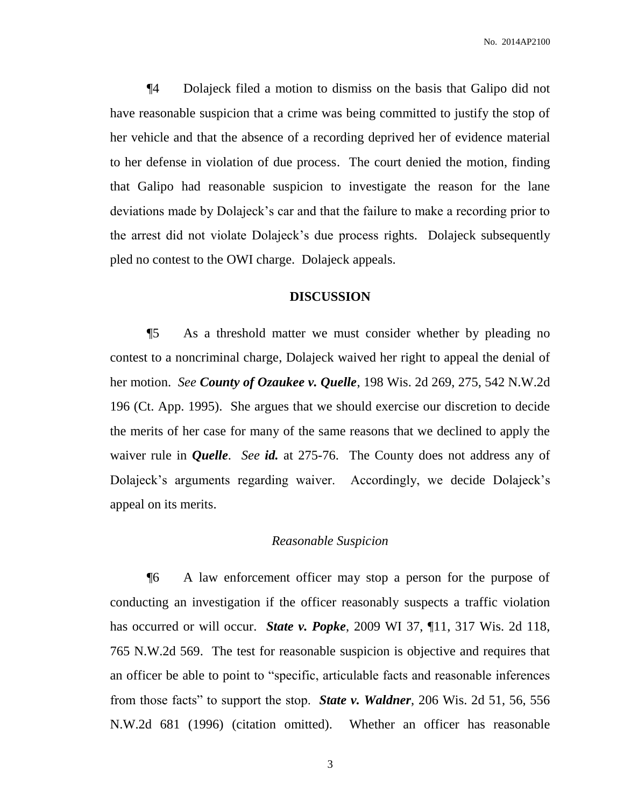¶4 Dolajeck filed a motion to dismiss on the basis that Galipo did not have reasonable suspicion that a crime was being committed to justify the stop of her vehicle and that the absence of a recording deprived her of evidence material to her defense in violation of due process. The court denied the motion, finding that Galipo had reasonable suspicion to investigate the reason for the lane deviations made by Dolajeck's car and that the failure to make a recording prior to the arrest did not violate Dolajeck's due process rights. Dolajeck subsequently pled no contest to the OWI charge. Dolajeck appeals.

## **DISCUSSION**

¶5 As a threshold matter we must consider whether by pleading no contest to a noncriminal charge, Dolajeck waived her right to appeal the denial of her motion. *See County of Ozaukee v. Quelle*, 198 Wis. 2d 269, 275, 542 N.W.2d 196 (Ct. App. 1995). She argues that we should exercise our discretion to decide the merits of her case for many of the same reasons that we declined to apply the waiver rule in *Quelle*. *See id.* at 275-76. The County does not address any of Dolajeck's arguments regarding waiver. Accordingly, we decide Dolajeck's appeal on its merits.

### *Reasonable Suspicion*

¶6 A law enforcement officer may stop a person for the purpose of conducting an investigation if the officer reasonably suspects a traffic violation has occurred or will occur. *State v. Popke*, 2009 WI 37, ¶11, 317 Wis. 2d 118, 765 N.W.2d 569. The test for reasonable suspicion is objective and requires that an officer be able to point to "specific, articulable facts and reasonable inferences from those facts" to support the stop. *State v. Waldner*, 206 Wis. 2d 51, 56, 556 N.W.2d 681 (1996) (citation omitted). Whether an officer has reasonable

3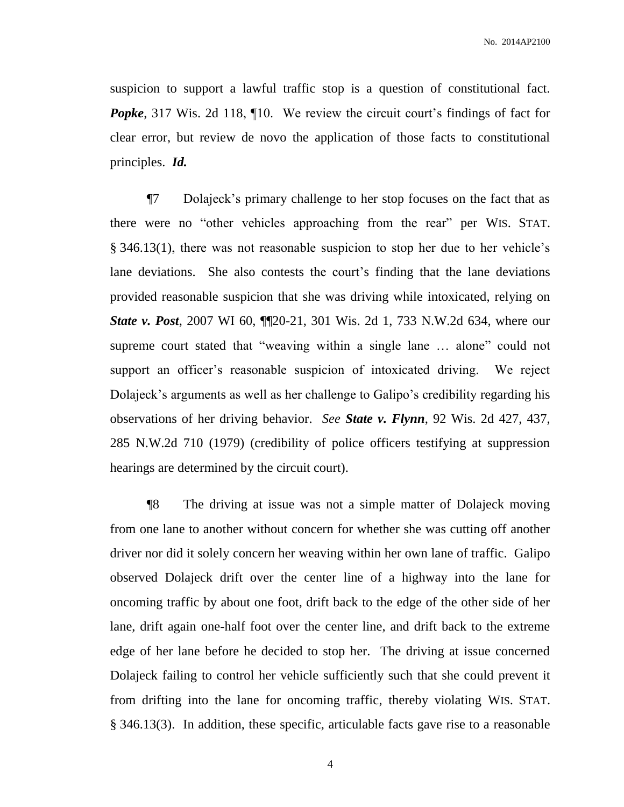suspicion to support a lawful traffic stop is a question of constitutional fact. *Popke*, 317 Wis. 2d 118, 10. We review the circuit court's findings of fact for clear error, but review de novo the application of those facts to constitutional principles. *Id.*

¶7 Dolajeck's primary challenge to her stop focuses on the fact that as there were no "other vehicles approaching from the rear" per WIS. STAT. § 346.13(1), there was not reasonable suspicion to stop her due to her vehicle's lane deviations. She also contests the court's finding that the lane deviations provided reasonable suspicion that she was driving while intoxicated, relying on **State v. Post**, 2007 WI 60, **[120-21, 301 Wis. 2d 1, 733 N.W.2d 634, where our** supreme court stated that "weaving within a single lane … alone" could not support an officer's reasonable suspicion of intoxicated driving. We reject Dolajeck's arguments as well as her challenge to Galipo's credibility regarding his observations of her driving behavior. *See State v. Flynn*, 92 Wis. 2d 427, 437, 285 N.W.2d 710 (1979) (credibility of police officers testifying at suppression hearings are determined by the circuit court).

¶8 The driving at issue was not a simple matter of Dolajeck moving from one lane to another without concern for whether she was cutting off another driver nor did it solely concern her weaving within her own lane of traffic. Galipo observed Dolajeck drift over the center line of a highway into the lane for oncoming traffic by about one foot, drift back to the edge of the other side of her lane, drift again one-half foot over the center line, and drift back to the extreme edge of her lane before he decided to stop her. The driving at issue concerned Dolajeck failing to control her vehicle sufficiently such that she could prevent it from drifting into the lane for oncoming traffic, thereby violating WIS. STAT. § 346.13(3). In addition, these specific, articulable facts gave rise to a reasonable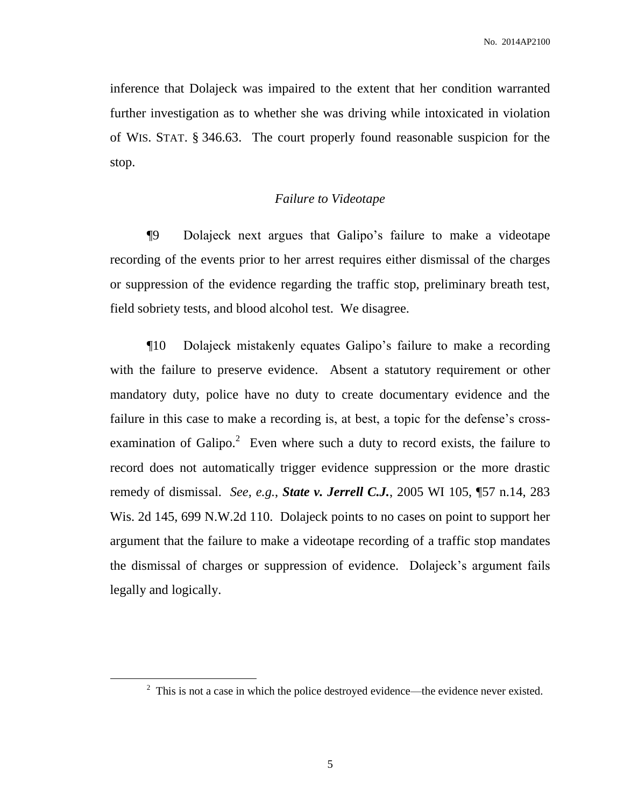inference that Dolajeck was impaired to the extent that her condition warranted further investigation as to whether she was driving while intoxicated in violation of WIS. STAT. § 346.63. The court properly found reasonable suspicion for the stop.

## *Failure to Videotape*

¶9 Dolajeck next argues that Galipo's failure to make a videotape recording of the events prior to her arrest requires either dismissal of the charges or suppression of the evidence regarding the traffic stop, preliminary breath test, field sobriety tests, and blood alcohol test. We disagree.

¶10 Dolajeck mistakenly equates Galipo's failure to make a recording with the failure to preserve evidence. Absent a statutory requirement or other mandatory duty, police have no duty to create documentary evidence and the failure in this case to make a recording is, at best, a topic for the defense's crossexamination of Galipo.<sup>2</sup> Even where such a duty to record exists, the failure to record does not automatically trigger evidence suppression or the more drastic remedy of dismissal. *See, e.g.*, *State v. Jerrell C.J.*, 2005 WI 105, ¶57 n.14, 283 Wis. 2d 145, 699 N.W.2d 110. Dolajeck points to no cases on point to support her argument that the failure to make a videotape recording of a traffic stop mandates the dismissal of charges or suppression of evidence. Dolajeck's argument fails legally and logically.

 $\overline{a}$ 

 $2 \text{ This is not a case in which the police destroyed evidence—the evidence never existed.}$